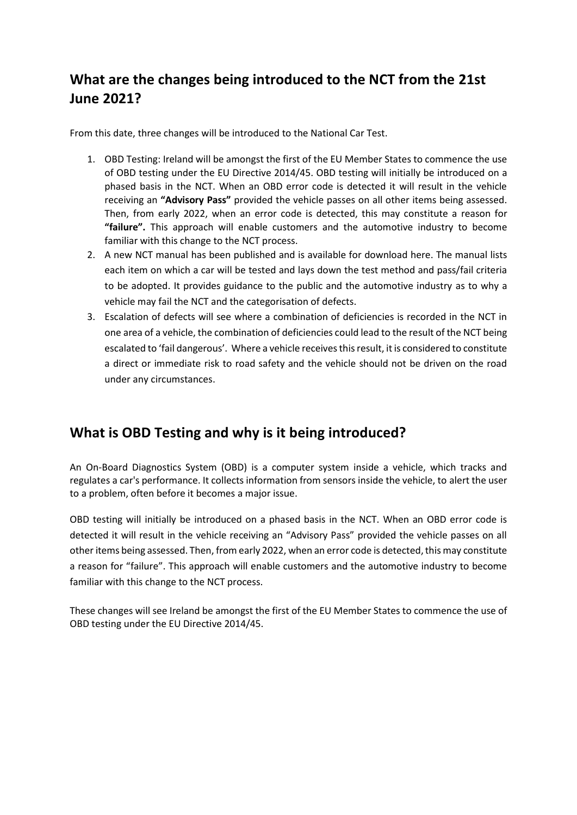## **What are the changes being introduced to the NCT from the 21st June 2021?**

From this date, three changes will be introduced to the National Car Test.

- 1. OBD Testing: Ireland will be amongst the first of the EU Member States to commence the use of OBD testing under the EU Directive 2014/45. OBD testing will initially be introduced on a phased basis in the NCT. When an OBD error code is detected it will result in the vehicle receiving an **"Advisory Pass"** provided the vehicle passes on all other items being assessed. Then, from early 2022, when an error code is detected, this may constitute a reason for **"failure".** This approach will enable customers and the automotive industry to become familiar with this change to the NCT process.
- 2. A new NCT manual has been published and is available for download here. The manual lists each item on which a car will be tested and lays down the test method and pass/fail criteria to be adopted. It provides guidance to the public and the automotive industry as to why a vehicle may fail the NCT and the categorisation of defects.
- 3. Escalation of defects will see where a combination of deficiencies is recorded in the NCT in one area of a vehicle, the combination of deficiencies could lead to the result of the NCT being escalated to 'fail dangerous'. Where a vehicle receives this result, it is considered to constitute a direct or immediate risk to road safety and the vehicle should not be driven on the road under any circumstances.

### **What is OBD Testing and why is it being introduced?**

An On-Board Diagnostics System (OBD) is a computer system inside a vehicle, which tracks and regulates a car's performance. It collects information from sensors inside the vehicle, to alert the user to a problem, often before it becomes a major issue.

OBD testing will initially be introduced on a phased basis in the NCT. When an OBD error code is detected it will result in the vehicle receiving an "Advisory Pass" provided the vehicle passes on all other items being assessed. Then, from early 2022, when an error code is detected, this may constitute a reason for "failure". This approach will enable customers and the automotive industry to become familiar with this change to the NCT process.

These changes will see Ireland be amongst the first of the EU Member States to commence the use of OBD testing under the EU Directive 2014/45.